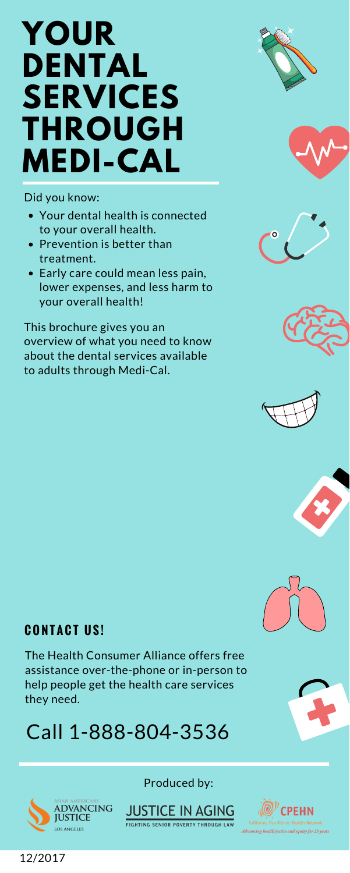## **YOUR DENTAL SERVICES THROUGH MEDI-CAL**

Did you know:

This brochure gives you an overview of what you need to know about the dental services available to adults through Medi-Cal.















- Your dental health is connected to your overall health.
- Prevention is better than treatment.
- Early care could mean less pain, lower expenses, and less harm to your overall health!

### Produced by:



12/2017



**FIGHTING SENIOR POVERTY THROUGH LAW** 



California Pan-Ethnic Health Network Advancing health justice and equity for 25 years

### **C O N T A C T U S !**

The Health Consumer Alliance offers free assistance over-the-phone or in-person to help people get the health care services they need.

## Call 1-888-804-3536

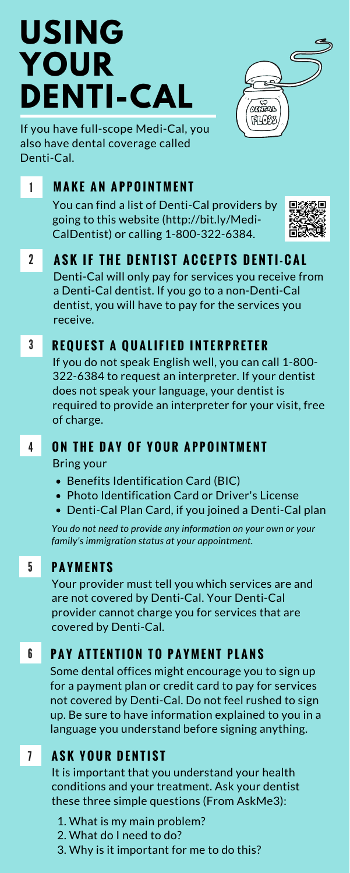## 1 **M A K E A N A P P O I N T M E N T**

You can find a list of Denti-Cal providers by going to this website (http://bit.ly/Medi-CalDentist) or calling 1-800-322-6384.



**2** ASK IF THE DENTIST ACCEPTS DENTI-CAL Denti-Cal will only pay for services you receive from a Denti-Cal dentist. If you go to a non-Denti-Cal dentist, you will have to pay for the services you receive.

## **3 REQUEST A QUALIFIED INTERPRETER**

- 4 ON THE DAY OF YOUR APPOINTMENT Bring your
	- Benefits Identification Card (BIC)
	- Photo Identification Card or Driver's License
	- Denti-Cal Plan Card, if you joined a Denti-Cal plan

If you do not speak English well, you can call 1-800- 322-6384 to request an interpreter. If your dentist does not speak your language, your dentist is required to provide an interpreter for your visit, free of charge.

*You do not need to provide any information on your own or your family's immigration status at your appointment.*

## 5 **P A Y M E N T S**

Your provider must tell you which services are and are not covered by Denti-Cal. Your Denti-Cal provider cannot charge you for services that are covered by Denti-Cal.

## **6 PAY ATTENTION TO PAYMENT PLANS**

# **USING YOUR DENTI-CAL**



If you have full-scope Medi-Cal, you also have dental coverage called Denti-Cal.

> It is important that you understand your health conditions and your treatment. Ask your dentist these three simple questions (From AskMe3):

### **A S K Y O U R D E N T I S T** 7

- 1. What is my main problem?
- 2. What do I need to do?
- 3. Why is it important for me to do this?

Some dental offices might encourage you to sign up for a payment plan or credit card to pay for services not covered by Denti-Cal. Do not feel rushed to sign up. Be sure to have information explained to you in a language you understand before signing anything.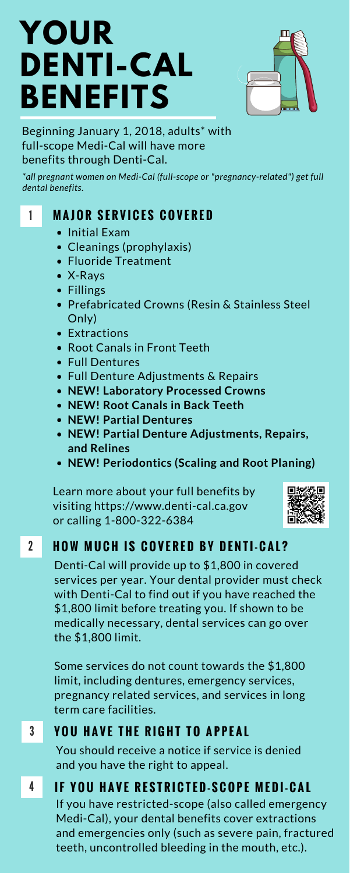## **YOUR DENTI-CAL BENEFITS**



Beginning January 1, 2018, adults\* with full-scope Medi-Cal will have more benefits through Denti-Cal.

*\*all pregnant women on Medi-Cal (full-scope or "pregnancy-related") get full dental benefits.*

- Initial Exam
- Cleanings (prophylaxis)
- Fluoride Treatment
- X-Rays
- Fillings
- Prefabricated Crowns (Resin & Stainless Steel Only)
- Extractions
- Root Canals in Front Teeth
- Full Dentures
- Full Denture Adjustments & Repairs
- **NEW! Laboratory Processed Crowns**
- **NEW! Root Canals in Back Teeth**
- **NEW! Partial Dentures**
- **NEW! Partial Denture Adjustments, Repairs, and Relines**
- **NEW! Periodontics (Scaling and Root Planing)**

Learn more about your full benefits by visiting https://www.denti-cal.ca.gov or calling 1-800-322-6384



## 2 HOW MUCH IS COVERED BY DENTI-CAL?

## 1 **M A J O R S E R V I C E S C O V E R E D**

Denti-Cal will provide up to \$1,800 in covered services per year. Your dental provider must check with Denti-Cal to find out if you have reached the \$1,800 limit before treating you. If shown to be medically necessary, dental services can go over the \$1,800 limit.

Some services do not count towards the \$1,800 limit, including dentures, emergency services, pregnancy related services, and services in long term care facilities.

If you have restricted-scope (also called emergency Medi-Cal), your dental benefits cover extractions and emergencies only (such as severe pain, fractured teeth, uncontrolled bleeding in the mouth, etc.).

You should receive a notice if service is denied and you have the right to appeal.

## 4 IF YOU HAVE RESTRICTED-SCOPE MEDI-CAL

## 3 **Y O U H A V E T H E R I G H T T O A P P E A L**